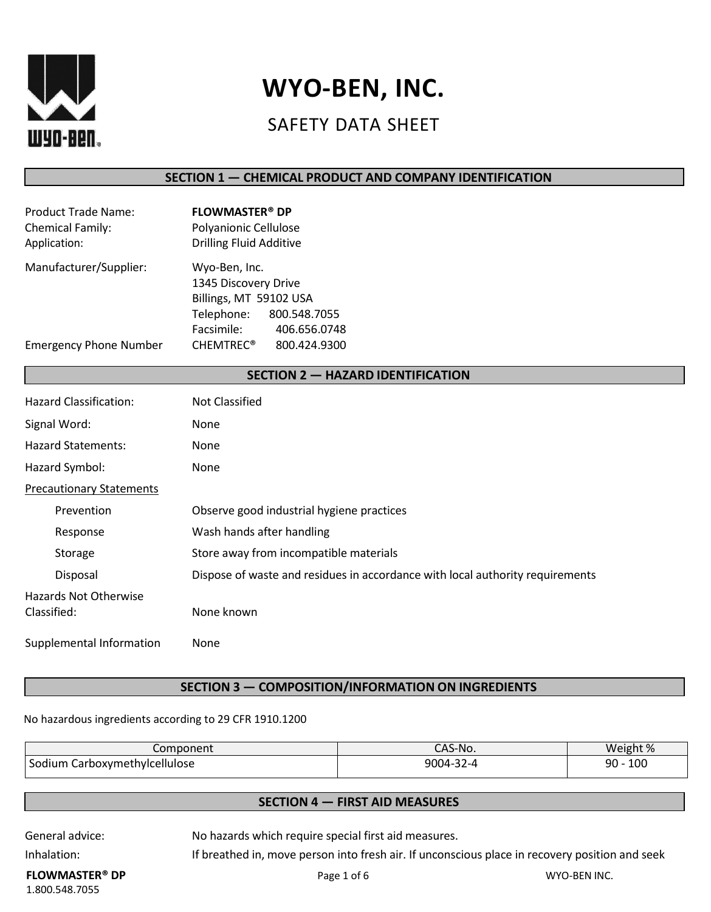

# **WYO-BEN, INC.**

# SAFETY DATA SHEET

### **SECTION 1 — CHEMICAL PRODUCT AND COMPANY IDENTIFICATION**

| <b>FLOWMASTER<sup>®</sup> DP</b><br>Polyanionic Cellulose<br><b>Drilling Fluid Additive</b>             |
|---------------------------------------------------------------------------------------------------------|
| Wyo-Ben, Inc.<br>1345 Discovery Drive<br>Billings, MT 59102 USA                                         |
| Telephone:<br>800.548.7055<br>Facsimile:<br>406.656.0748<br><b>CHEMTREC<sup>®</sup></b><br>800.424.9300 |
|                                                                                                         |

#### **SECTION 2 — HAZARD IDENTIFICATION**

| <b>Hazard Classification:</b>               | Not Classified                                                                |
|---------------------------------------------|-------------------------------------------------------------------------------|
| Signal Word:                                | None                                                                          |
| <b>Hazard Statements:</b>                   | <b>None</b>                                                                   |
| Hazard Symbol:                              | <b>None</b>                                                                   |
| <b>Precautionary Statements</b>             |                                                                               |
| Prevention                                  | Observe good industrial hygiene practices                                     |
| Response                                    | Wash hands after handling                                                     |
| Storage                                     | Store away from incompatible materials                                        |
| Disposal                                    | Dispose of waste and residues in accordance with local authority requirements |
| <b>Hazards Not Otherwise</b><br>Classified: | None known                                                                    |
| Supplemental Information                    | None                                                                          |

#### **SECTION 3 — COMPOSITION/INFORMATION ON INGREDIENTS**

#### No hazardous ingredients according to 29 CFR 1910.1200

| Component                        | CAS-No.   | Weight %    |
|----------------------------------|-----------|-------------|
| Sodium<br>Carboxymethylcellulose | 9004-32-4 | 100<br>90 - |

### **SECTION 4 — FIRST AID MEASURES**

General advice: No hazards which require special first aid measures.

Inhalation: Inhalation: If breathed in, move person into fresh air. If unconscious place in recovery position and seek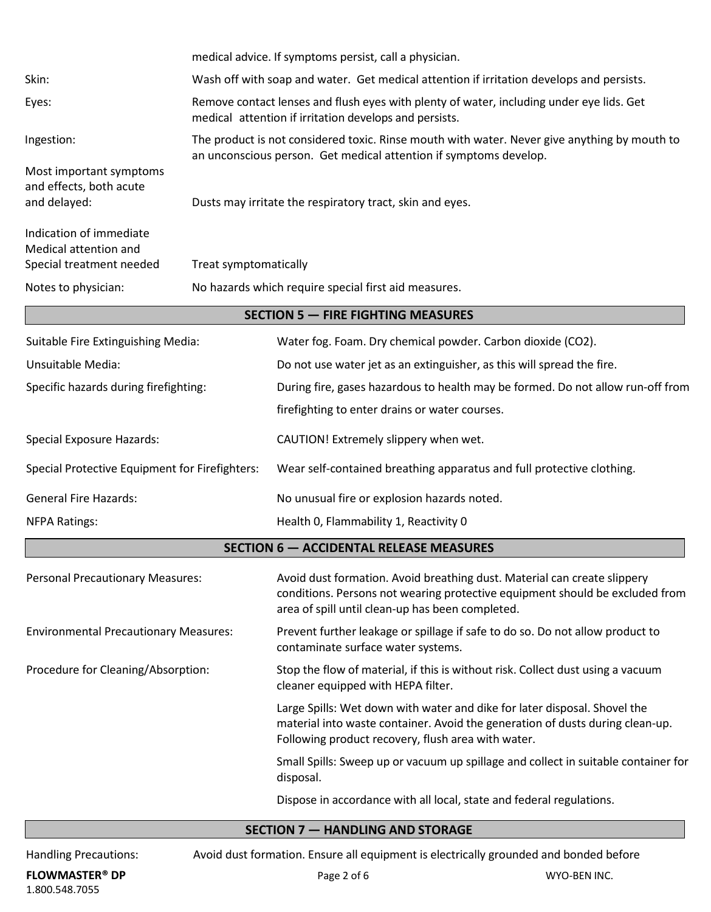|                                                                              |                                                                                                                                                    | medical advice. If symptoms persist, call a physician.                                                                                                                                                           |
|------------------------------------------------------------------------------|----------------------------------------------------------------------------------------------------------------------------------------------------|------------------------------------------------------------------------------------------------------------------------------------------------------------------------------------------------------------------|
| Skin:                                                                        |                                                                                                                                                    | Wash off with soap and water. Get medical attention if irritation develops and persists.                                                                                                                         |
| Eyes:                                                                        | Remove contact lenses and flush eyes with plenty of water, including under eye lids. Get<br>medical attention if irritation develops and persists. |                                                                                                                                                                                                                  |
| Ingestion:                                                                   |                                                                                                                                                    | The product is not considered toxic. Rinse mouth with water. Never give anything by mouth to<br>an unconscious person. Get medical attention if symptoms develop.                                                |
| Most important symptoms<br>and effects, both acute<br>and delayed:           | Dusts may irritate the respiratory tract, skin and eyes.                                                                                           |                                                                                                                                                                                                                  |
| Indication of immediate<br>Medical attention and<br>Special treatment needed | Treat symptomatically                                                                                                                              |                                                                                                                                                                                                                  |
| Notes to physician:                                                          | No hazards which require special first aid measures.                                                                                               |                                                                                                                                                                                                                  |
|                                                                              |                                                                                                                                                    | <b>SECTION 5 - FIRE FIGHTING MEASURES</b>                                                                                                                                                                        |
| Suitable Fire Extinguishing Media:                                           |                                                                                                                                                    | Water fog. Foam. Dry chemical powder. Carbon dioxide (CO2).                                                                                                                                                      |
| Unsuitable Media:                                                            |                                                                                                                                                    | Do not use water jet as an extinguisher, as this will spread the fire.                                                                                                                                           |
| Specific hazards during firefighting:                                        |                                                                                                                                                    | During fire, gases hazardous to health may be formed. Do not allow run-off from                                                                                                                                  |
|                                                                              |                                                                                                                                                    | firefighting to enter drains or water courses.                                                                                                                                                                   |
| <b>Special Exposure Hazards:</b>                                             |                                                                                                                                                    | CAUTION! Extremely slippery when wet.                                                                                                                                                                            |
| Special Protective Equipment for Firefighters:                               |                                                                                                                                                    | Wear self-contained breathing apparatus and full protective clothing.                                                                                                                                            |
| <b>General Fire Hazards:</b>                                                 |                                                                                                                                                    | No unusual fire or explosion hazards noted.                                                                                                                                                                      |
| <b>NFPA Ratings:</b>                                                         |                                                                                                                                                    | Health 0, Flammability 1, Reactivity 0                                                                                                                                                                           |
|                                                                              |                                                                                                                                                    | <b>SECTION 6 - ACCIDENTAL RELEASE MEASURES</b>                                                                                                                                                                   |
| <b>Personal Precautionary Measures:</b>                                      |                                                                                                                                                    | Avoid dust formation. Avoid breathing dust. Material can create slippery<br>conditions. Persons not wearing protective equipment should be excluded from<br>area of spill until clean-up has been completed.     |
| <b>Environmental Precautionary Measures:</b>                                 |                                                                                                                                                    | Prevent further leakage or spillage if safe to do so. Do not allow product to<br>contaminate surface water systems.                                                                                              |
| Procedure for Cleaning/Absorption:                                           |                                                                                                                                                    | Stop the flow of material, if this is without risk. Collect dust using a vacuum<br>cleaner equipped with HEPA filter.                                                                                            |
|                                                                              |                                                                                                                                                    | Large Spills: Wet down with water and dike for later disposal. Shovel the<br>material into waste container. Avoid the generation of dusts during clean-up.<br>Following product recovery, flush area with water. |
|                                                                              |                                                                                                                                                    | Small Spills: Sweep up or vacuum up spillage and collect in suitable container for<br>disposal.                                                                                                                  |
|                                                                              |                                                                                                                                                    | Dispose in accordance with all local, state and federal regulations.                                                                                                                                             |

# **SECTION 7 — HANDLING AND STORAGE**

Handling Precautions: Avoid dust formation. Ensure all equipment is electrically grounded and bonded before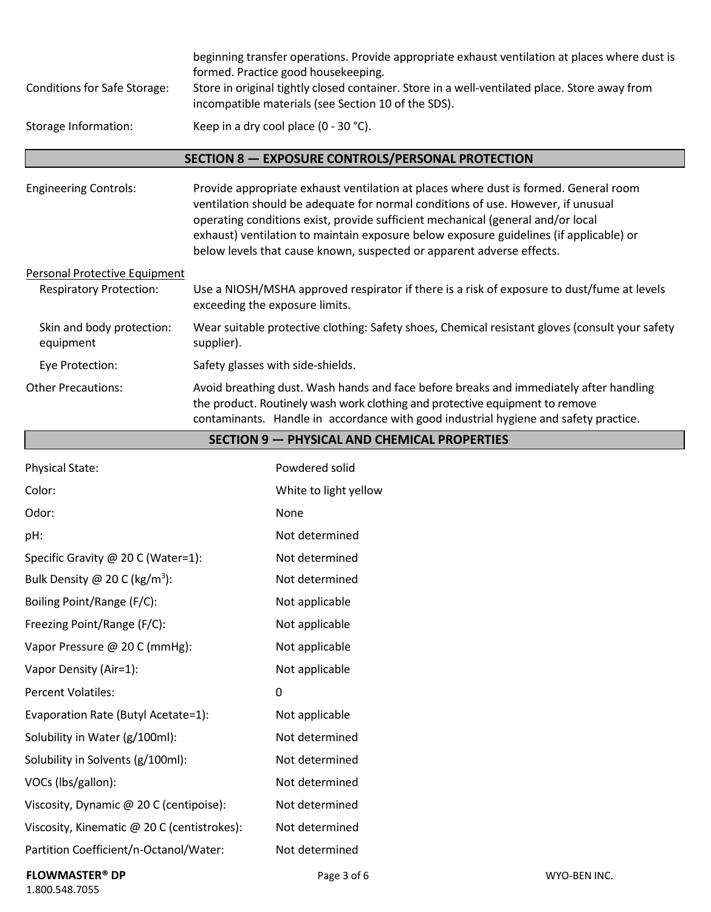| <b>Conditions for Safe Storage:</b><br>Storage Information:            | beginning transfer operations. Provide appropriate exhaust ventilation at places where dust is<br>formed. Practice good housekeeping.<br>Store in original tightly closed container. Store in a well-ventilated place. Store away from<br>incompatible materials (see Section 10 of the SDS).<br>Keep in a dry cool place (0 - 30 °C).                                                                                         |  |
|------------------------------------------------------------------------|--------------------------------------------------------------------------------------------------------------------------------------------------------------------------------------------------------------------------------------------------------------------------------------------------------------------------------------------------------------------------------------------------------------------------------|--|
|                                                                        | SECTION 8 - EXPOSURE CONTROLS/PERSONAL PROTECTION                                                                                                                                                                                                                                                                                                                                                                              |  |
| <b>Engineering Controls:</b>                                           | Provide appropriate exhaust ventilation at places where dust is formed. General room<br>ventilation should be adequate for normal conditions of use. However, if unusual<br>operating conditions exist, provide sufficient mechanical (general and/or local<br>exhaust) ventilation to maintain exposure below exposure guidelines (if applicable) or<br>below levels that cause known, suspected or apparent adverse effects. |  |
| <b>Personal Protective Equipment</b><br><b>Respiratory Protection:</b> | Use a NIOSH/MSHA approved respirator if there is a risk of exposure to dust/fume at levels<br>exceeding the exposure limits.                                                                                                                                                                                                                                                                                                   |  |
| Skin and body protection:<br>equipment                                 | Wear suitable protective clothing: Safety shoes, Chemical resistant gloves (consult your safety<br>supplier).                                                                                                                                                                                                                                                                                                                  |  |
| Eye Protection:                                                        | Safety glasses with side-shields.                                                                                                                                                                                                                                                                                                                                                                                              |  |
| <b>Other Precautions:</b>                                              | Avoid breathing dust. Wash hands and face before breaks and immediately after handling<br>the product. Routinely wash work clothing and protective equipment to remove<br>contaminants. Handle in accordance with good industrial hygiene and safety practice.                                                                                                                                                                 |  |
| <b>SECTION 9 - PHYSICAL AND CHEMICAL PROPERTIES</b>                    |                                                                                                                                                                                                                                                                                                                                                                                                                                |  |

| <b>Physical State:</b>                      | Powdered solid        |
|---------------------------------------------|-----------------------|
| Color:                                      | White to light yellow |
| Odor:                                       | None                  |
| pH:                                         | Not determined        |
| Specific Gravity @ 20 C (Water=1):          | Not determined        |
| Bulk Density @ 20 C (kg/m <sup>3</sup> ):   | Not determined        |
| Boiling Point/Range (F/C):                  | Not applicable        |
| Freezing Point/Range (F/C):                 | Not applicable        |
| Vapor Pressure @ 20 C (mmHg):               | Not applicable        |
| Vapor Density (Air=1):                      | Not applicable        |
| <b>Percent Volatiles:</b>                   | 0                     |
| Evaporation Rate (Butyl Acetate=1):         | Not applicable        |
| Solubility in Water (g/100ml):              | Not determined        |
| Solubility in Solvents (g/100ml):           | Not determined        |
| VOCs (lbs/gallon):                          | Not determined        |
| Viscosity, Dynamic @ 20 C (centipoise):     | Not determined        |
| Viscosity, Kinematic @ 20 C (centistrokes): | Not determined        |
| Partition Coefficient/n-Octanol/Water:      | Not determined        |
| <b>FLOWMASTER<sup>®</sup> DP</b>            | Page 3 of 6           |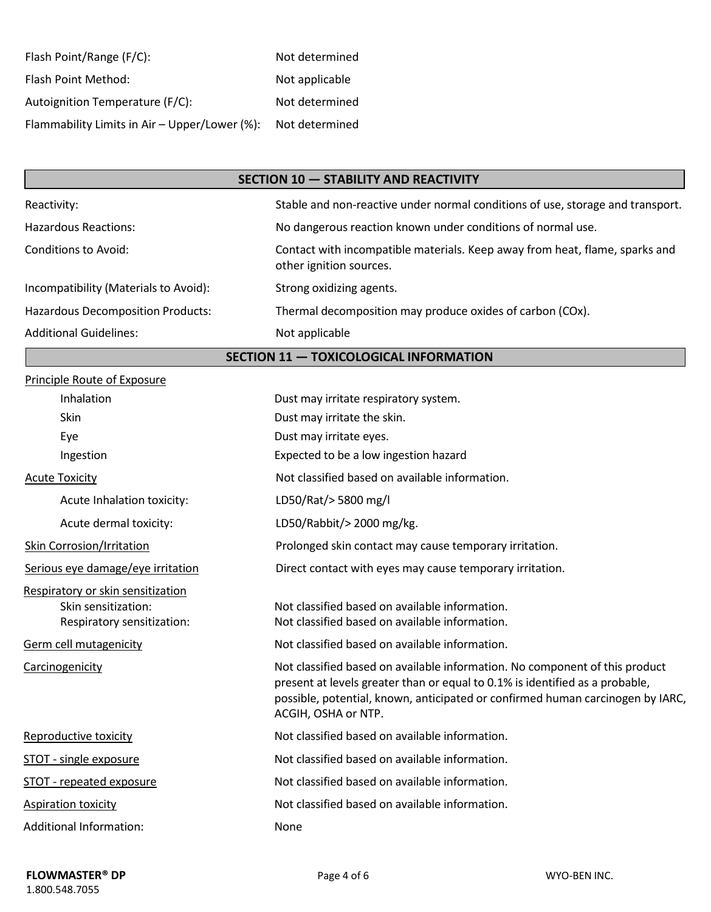| Flash Point/Range (F/C):                      | Not determined |
|-----------------------------------------------|----------------|
| Flash Point Method:                           | Not applicable |
| Autoignition Temperature (F/C):               | Not determined |
| Flammability Limits in Air - Upper/Lower (%): | Not determined |

### **SECTION 10 — STABILITY AND REACTIVITY**

| Reactivity:                              | Stable and non-reactive under normal conditions of use, storage and transport.                         |
|------------------------------------------|--------------------------------------------------------------------------------------------------------|
| <b>Hazardous Reactions:</b>              | No dangerous reaction known under conditions of normal use.                                            |
| Conditions to Avoid:                     | Contact with incompatible materials. Keep away from heat, flame, sparks and<br>other ignition sources. |
| Incompatibility (Materials to Avoid):    | Strong oxidizing agents.                                                                               |
| <b>Hazardous Decomposition Products:</b> | Thermal decomposition may produce oxides of carbon (COx).                                              |
| <b>Additional Guidelines:</b>            | Not applicable                                                                                         |

## **SECTION 11 — TOXICOLOGICAL INFORMATION**

| Dust may irritate respiratory system.                                                                                                                                                                                                                                |
|----------------------------------------------------------------------------------------------------------------------------------------------------------------------------------------------------------------------------------------------------------------------|
| Dust may irritate the skin.                                                                                                                                                                                                                                          |
| Dust may irritate eyes.                                                                                                                                                                                                                                              |
| Expected to be a low ingestion hazard                                                                                                                                                                                                                                |
| Not classified based on available information.                                                                                                                                                                                                                       |
| LD50/Rat/>5800 mg/l                                                                                                                                                                                                                                                  |
| LD50/Rabbit/> 2000 mg/kg.                                                                                                                                                                                                                                            |
| Prolonged skin contact may cause temporary irritation.                                                                                                                                                                                                               |
| Direct contact with eyes may cause temporary irritation.                                                                                                                                                                                                             |
| Not classified based on available information.<br>Not classified based on available information.                                                                                                                                                                     |
| Not classified based on available information.                                                                                                                                                                                                                       |
| Not classified based on available information. No component of this product<br>present at levels greater than or equal to 0.1% is identified as a probable,<br>possible, potential, known, anticipated or confirmed human carcinogen by IARC,<br>ACGIH, OSHA or NTP. |
| Not classified based on available information.                                                                                                                                                                                                                       |
| Not classified based on available information.                                                                                                                                                                                                                       |
| Not classified based on available information.                                                                                                                                                                                                                       |
| Not classified based on available information.                                                                                                                                                                                                                       |
| None                                                                                                                                                                                                                                                                 |
|                                                                                                                                                                                                                                                                      |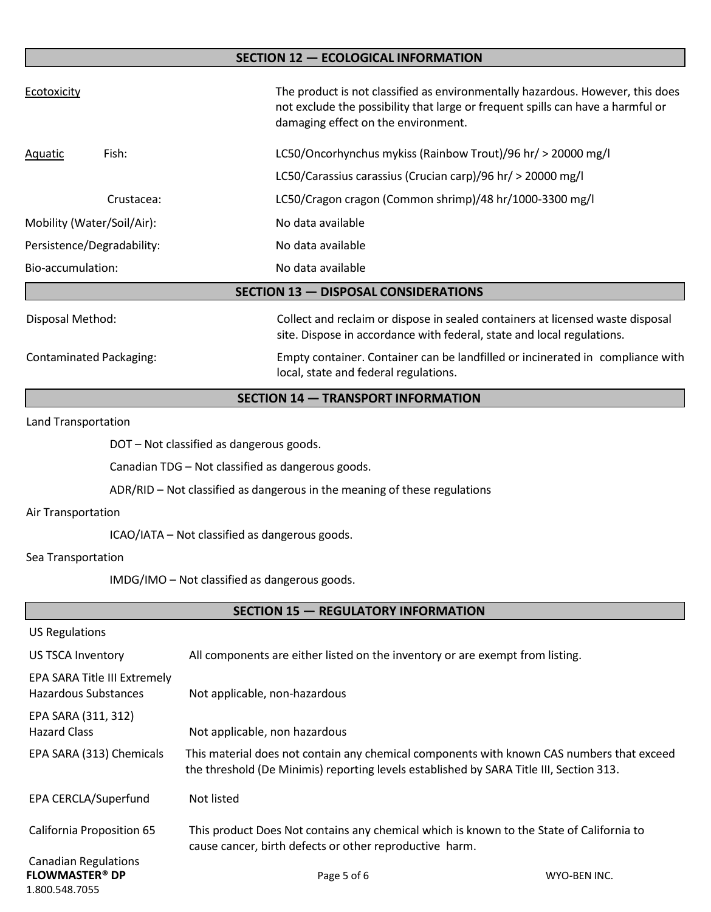# Ecotoxicity Ecotoxicity The product is not classified as environmentally hazardous. However, this does not exclude the possibility that large or frequent spills can have a harmful or damaging effect on the environment. Aquatic Fish: LC50/Oncorhynchus mykiss (Rainbow Trout)/96 hr/ > 20000 mg/l LC50/Carassius carassius (Crucian carp)/96 hr/ > 20000 mg/l Crustacea: LC50/Cragon cragon (Common shrimp)/48 hr/1000-3300 mg/l Mobility (Water/Soil/Air): No data available Persistence/Degradability: No data available Bio-accumulation: No data available Disposal Method: Collect and reclaim or dispose in sealed containers at licensed waste disposal site. Dispose in accordance with federal, state and local regulations. Contaminated Packaging: Empty container. Container can be landfilled or incinerated in compliance with local, state and federal regulations. **SECTION 12 — ECOLOGICAL INFORMATION SECTION 13 — DISPOSAL CONSIDERATIONS**

#### **SECTION 14 — TRANSPORT INFORMATION**

Land Transportation

DOT – Not classified as dangerous goods.

Canadian TDG – Not classified as dangerous goods.

ADR/RID – Not classified as dangerous in the meaning of these regulations

#### Air Transportation

ICAO/IATA – Not classified as dangerous goods.

#### Sea Transportation

IMDG/IMO – Not classified as dangerous goods.

| <b>US Regulations</b>                                                             |                                                                                                                                                                                      |              |
|-----------------------------------------------------------------------------------|--------------------------------------------------------------------------------------------------------------------------------------------------------------------------------------|--------------|
| US TSCA Inventory                                                                 | All components are either listed on the inventory or are exempt from listing.                                                                                                        |              |
| EPA SARA Title III Extremely<br>Hazardous Substances                              | Not applicable, non-hazardous                                                                                                                                                        |              |
| EPA SARA (311, 312)<br><b>Hazard Class</b>                                        | Not applicable, non hazardous                                                                                                                                                        |              |
| EPA SARA (313) Chemicals                                                          | This material does not contain any chemical components with known CAS numbers that exceed<br>the threshold (De Minimis) reporting levels established by SARA Title III, Section 313. |              |
| EPA CERCLA/Superfund                                                              | Not listed                                                                                                                                                                           |              |
| California Proposition 65                                                         | This product Does Not contains any chemical which is known to the State of California to<br>cause cancer, birth defects or other reproductive harm.                                  |              |
| <b>Canadian Regulations</b><br><b>FLOWMASTER<sup>®</sup> DP</b><br>1.800.548.7055 | Page 5 of 6                                                                                                                                                                          | WYO-BEN INC. |